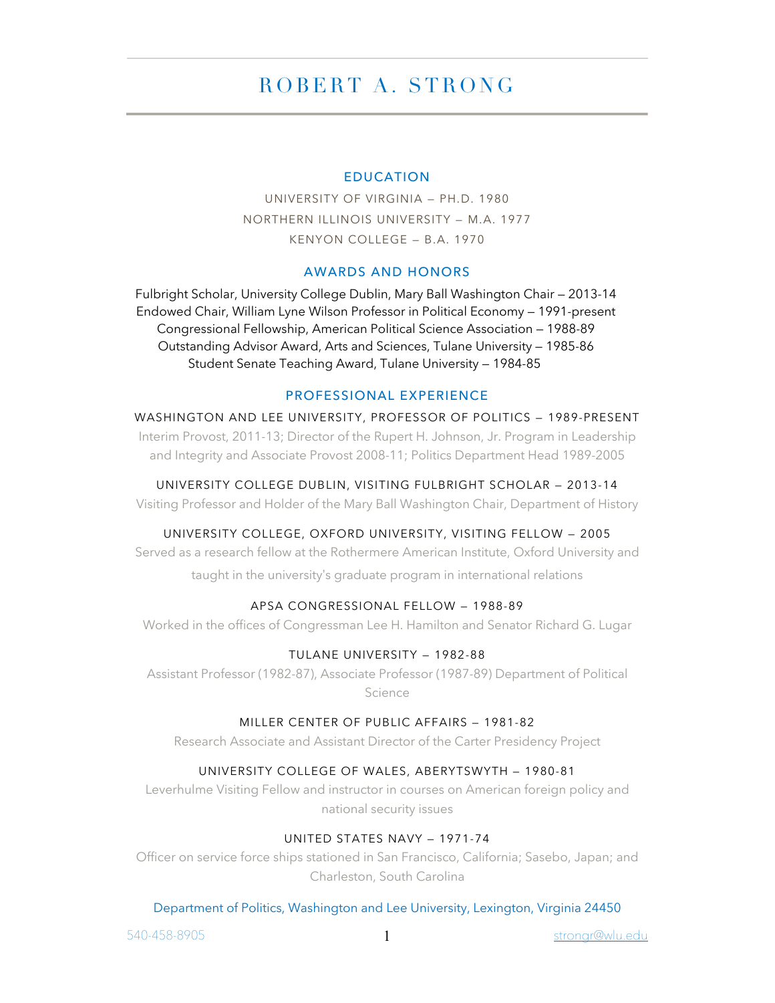# ROBERT A . STRONG

### EDUCATION

UNIVERSITY OF VIRGINIA — PH.D. 1980 NORTHERN ILLINOIS UNIVERSITY — M.A. 1977 KENYON COLLEGE — B.A. 1970

## AWARDS AND HONORS

Fulbright Scholar, University College Dublin, Mary Ball Washington Chair — 2013-14 Endowed Chair, William Lyne Wilson Professor in Political Economy — 1991-present Congressional Fellowship, American Political Science Association — 1988-89 Outstanding Advisor Award, Arts and Sciences, Tulane University — 1985-86 Student Senate Teaching Award, Tulane University — 1984-85

#### PROFESSIONAL EXPERIENCE

WASHINGTON AND LEE UNIVERSITY, PROFESSOR OF POLITICS — 1989-PRESENT Interim Provost, 2011-13; Director of the Rupert H. Johnson, Jr. Program in Leadership and Integrity and Associate Provost 2008-11; Politics Department Head 1989-2005

UNIVERSITY COLLEGE DUBLIN, VISITING FULBRIGHT SCHOLAR — 2013-14 Visiting Professor and Holder of the Mary Ball Washington Chair, Department of History

#### UNIVERSITY COLLEGE, OXFORD UNIVERSITY, VISITING FELLOW — 2005

Served as a research fellow at the Rothermere American Institute, Oxford University and taught in the university's graduate program in international relations

## APSA CONGRESSIONAL FELLOW — 1988-89

Worked in the offices of Congressman Lee H. Hamilton and Senator Richard G. Lugar

### TULANE UNIVERSITY — 1982-88

Assistant Professor (1982-87), Associate Professor (1987-89) Department of Political Science

#### MILLER CENTER OF PUBLIC AFFAIRS — 1981-82

Research Associate and Assistant Director of the Carter Presidency Project

#### UNIVERSITY COLLEGE OF WALES, ABERYTSWYTH — 1980-81

Leverhulme Visiting Fellow and instructor in courses on American foreign policy and national security issues

#### UNITED STATES NAVY — 1971-74

Officer on service force ships stationed in San Francisco, California; Sasebo, Japan; and Charleston, South Carolina

#### Department of Politics, Washington and Lee University, Lexington, Virginia 24450

540-458-8905 1 strongr@wlu.edu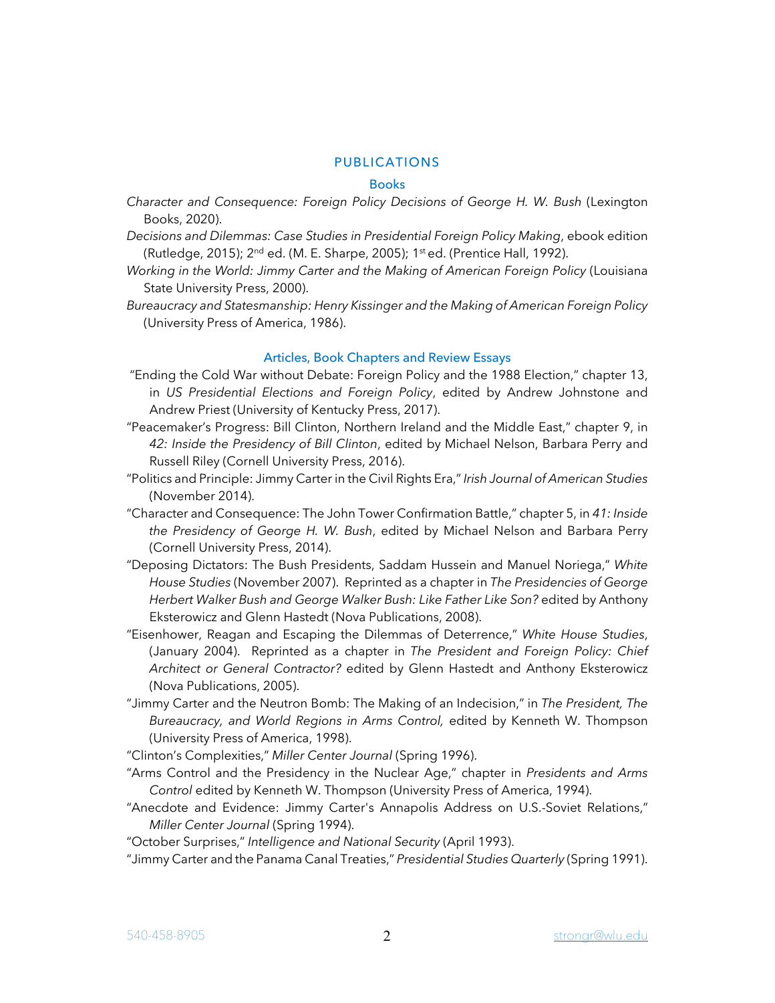## PUBLICATIONS

#### **Books**

- *Character and Consequence: Foreign Policy Decisions of George H. W. Bush* (Lexington Books, 2020).
- *Decisions and Dilemmas: Case Studies in Presidential Foreign Policy Making*, ebook edition (Rutledge, 2015); 2nd ed. (M. E. Sharpe, 2005); 1st ed. (Prentice Hall, 1992).
- *Working in the World: Jimmy Carter and the Making of American Foreign Policy* (Louisiana State University Press, 2000).
- *Bureaucracy and Statesmanship: Henry Kissinger and the Making of American Foreign Policy* (University Press of America, 1986).

#### Articles, Book Chapters and Review Essays

- "Ending the Cold War without Debate: Foreign Policy and the 1988 Election," chapter 13, in *US Presidential Elections and Foreign Policy*, edited by Andrew Johnstone and Andrew Priest (University of Kentucky Press, 2017).
- "Peacemaker's Progress: Bill Clinton, Northern Ireland and the Middle East," chapter 9, in *42: Inside the Presidency of Bill Clinton*, edited by Michael Nelson, Barbara Perry and Russell Riley (Cornell University Press, 2016).
- "Politics and Principle: Jimmy Carter in the Civil Rights Era,"*Irish Journal of American Studies* (November 2014).
- "Character and Consequence: The John Tower Confirmation Battle," chapter 5, in *41: Inside the Presidency of George H. W. Bush*, edited by Michael Nelson and Barbara Perry (Cornell University Press, 2014).
- "Deposing Dictators: The Bush Presidents, Saddam Hussein and Manuel Noriega," *White House Studies* (November 2007). Reprinted as a chapter in *The Presidencies of George Herbert Walker Bush and George Walker Bush: Like Father Like Son?* edited by Anthony Eksterowicz and Glenn Hastedt (Nova Publications, 2008).
- "Eisenhower, Reagan and Escaping the Dilemmas of Deterrence," *White House Studies*, (January 2004). Reprinted as a chapter in *The President and Foreign Policy: Chief Architect or General Contractor?* edited by Glenn Hastedt and Anthony Eksterowicz (Nova Publications, 2005).
- "Jimmy Carter and the Neutron Bomb: The Making of an Indecision," in *The President, The Bureaucracy, and World Regions in Arms Control,* edited by Kenneth W. Thompson (University Press of America, 1998).

"Clinton's Complexities," *Miller Center Journal* (Spring 1996).

- "Arms Control and the Presidency in the Nuclear Age," chapter in *Presidents and Arms Control* edited by Kenneth W. Thompson (University Press of America, 1994).
- "Anecdote and Evidence: Jimmy Carter's Annapolis Address on U.S.-Soviet Relations," *Miller Center Journal* (Spring 1994).

"October Surprises," *Intelligence and National Security* (April 1993).

"Jimmy Carter and the Panama Canal Treaties," *Presidential Studies Quarterly* (Spring 1991).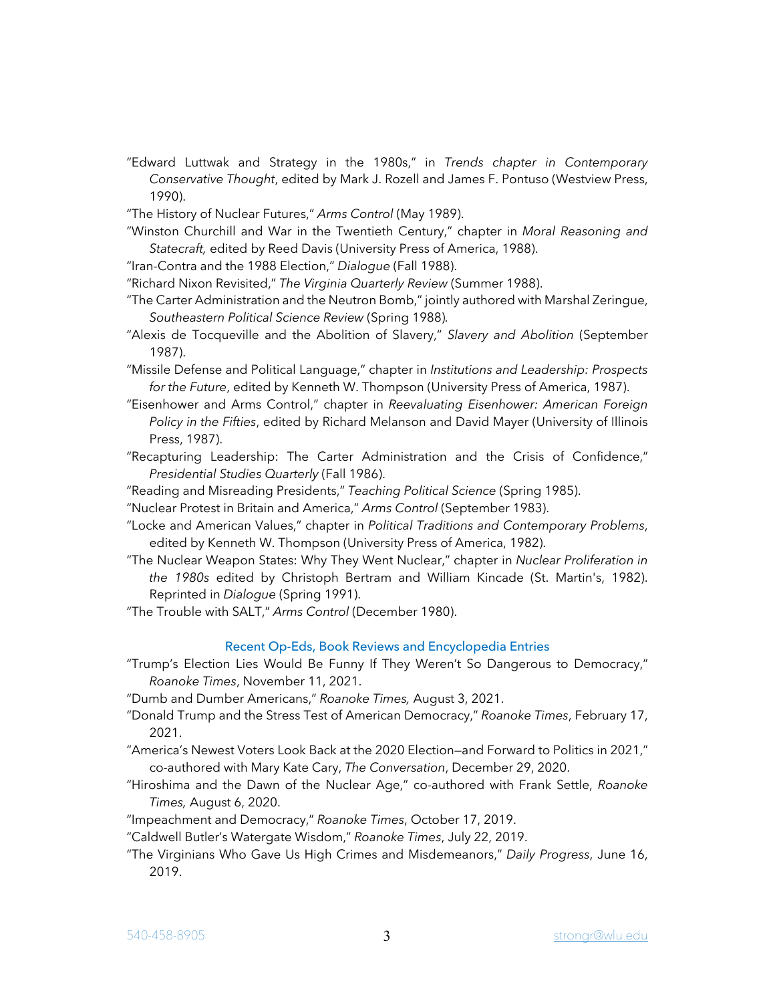- "Edward Luttwak and Strategy in the 1980s," in *Trends chapter in Contemporary Conservative Thought*, edited by Mark J. Rozell and James F. Pontuso (Westview Press, 1990).
- "The History of Nuclear Futures," *Arms Control* (May 1989).
- "Winston Churchill and War in the Twentieth Century," chapter in *Moral Reasoning and Statecraft,* edited by Reed Davis (University Press of America, 1988).
- "Iran-Contra and the 1988 Election," *Dialogue* (Fall 1988).
- "Richard Nixon Revisited," *The Virginia Quarterly Review* (Summer 1988).
- "The Carter Administration and the Neutron Bomb," jointly authored with Marshal Zeringue, *Southeastern Political Science Review* (Spring 1988)*.*
- "Alexis de Tocqueville and the Abolition of Slavery," *Slavery and Abolition* (September 1987).
- "Missile Defense and Political Language," chapter in *Institutions and Leadership: Prospects for the Future*, edited by Kenneth W. Thompson (University Press of America, 1987).
- "Eisenhower and Arms Control," chapter in *Reevaluating Eisenhower: American Foreign Policy in the Fifties*, edited by Richard Melanson and David Mayer (University of Illinois Press, 1987).
- "Recapturing Leadership: The Carter Administration and the Crisis of Confidence," *Presidential Studies Quarterly* (Fall 1986).
- "Reading and Misreading Presidents," *Teaching Political Science* (Spring 1985).
- "Nuclear Protest in Britain and America," *Arms Control* (September 1983).
- "Locke and American Values," chapter in *Political Traditions and Contemporary Problems*, edited by Kenneth W. Thompson (University Press of America, 1982).
- "The Nuclear Weapon States: Why They Went Nuclear," chapter in *Nuclear Proliferation in the 1980s* edited by Christoph Bertram and William Kincade (St. Martin's, 1982). Reprinted in *Dialogue* (Spring 1991).
- "The Trouble with SALT," *Arms Control* (December 1980).

#### Recent Op-Eds, Book Reviews and Encyclopedia Entries

"Trump's Election Lies Would Be Funny If They Weren't So Dangerous to Democracy," *Roanoke Times*, November 11, 2021.

"Dumb and Dumber Americans," *Roanoke Times,* August 3, 2021.

- "Donald Trump and the Stress Test of American Democracy," *Roanoke Times*, February 17, 2021.
- "America's Newest Voters Look Back at the 2020 Election—and Forward to Politics in 2021," co-authored with Mary Kate Cary, *The Conversation*, December 29, 2020.
- "Hiroshima and the Dawn of the Nuclear Age," co-authored with Frank Settle, *Roanoke Times,* August 6, 2020.
- "Impeachment and Democracy," *Roanoke Times*, October 17, 2019.
- "Caldwell Butler's Watergate Wisdom," *Roanoke Times*, July 22, 2019.
- "The Virginians Who Gave Us High Crimes and Misdemeanors," *Daily Progress*, June 16, 2019.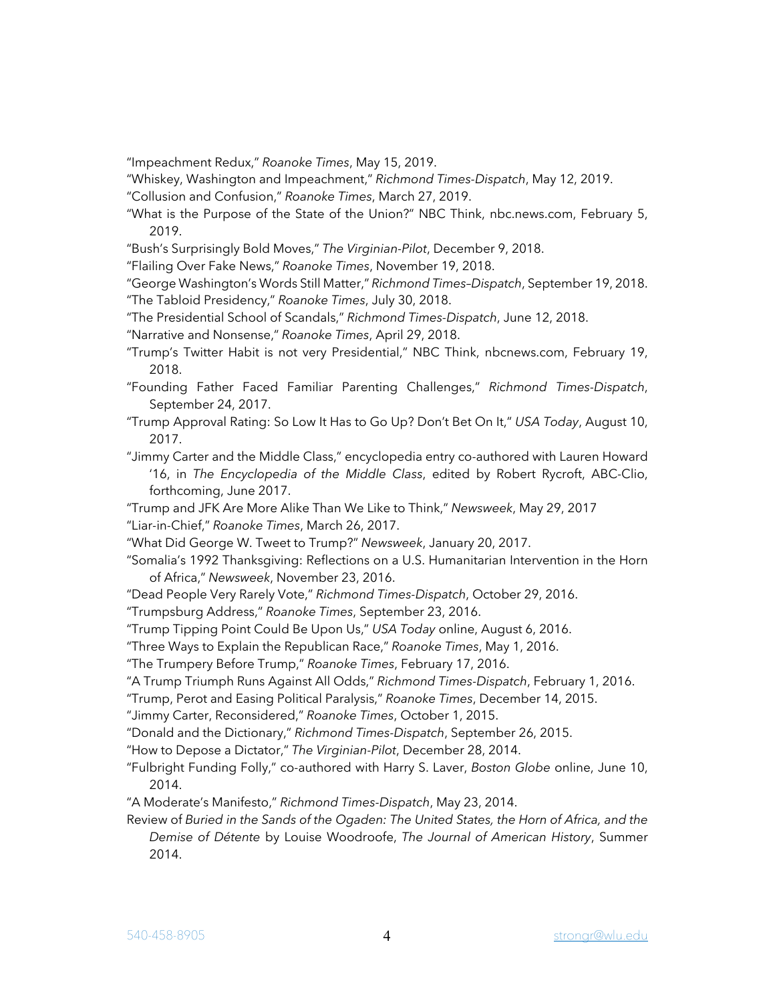"Impeachment Redux," *Roanoke Times*, May 15, 2019.

- "Whiskey, Washington and Impeachment," *Richmond Times-Dispatch*, May 12, 2019.
- "Collusion and Confusion," *Roanoke Times*, March 27, 2019.
- "What is the Purpose of the State of the Union?" NBC Think, nbc.news.com, February 5, 2019.
- "Bush's Surprisingly Bold Moves," *The Virginian-Pilot*, December 9, 2018.
- "Flailing Over Fake News," *Roanoke Times*, November 19, 2018.
- "George Washington's Words Still Matter," *Richmond Times–Dispatch*, September 19, 2018. "The Tabloid Presidency," *Roanoke Times*, July 30, 2018.
- "The Presidential School of Scandals," *Richmond Times-Dispatch*, June 12, 2018.
- "Narrative and Nonsense," *Roanoke Times*, April 29, 2018.
- "Trump's Twitter Habit is not very Presidential," NBC Think, nbcnews.com, February 19, 2018.
- "Founding Father Faced Familiar Parenting Challenges," *Richmond Times-Dispatch*, September 24, 2017.
- "Trump Approval Rating: So Low It Has to Go Up? Don't Bet On It," *USA Today*, August 10, 2017.
- "Jimmy Carter and the Middle Class," encyclopedia entry co-authored with Lauren Howard '16, in *The Encyclopedia of the Middle Class*, edited by Robert Rycroft, ABC-Clio, forthcoming, June 2017.
- "Trump and JFK Are More Alike Than We Like to Think," *Newsweek*, May 29, 2017 "Liar-in-Chief," *Roanoke Times*, March 26, 2017.
- "What Did George W. Tweet to Trump?" *Newsweek*, January 20, 2017.
- "Somalia's 1992 Thanksgiving: Reflections on a U.S. Humanitarian Intervention in the Horn of Africa," *Newsweek*, November 23, 2016.
- "Dead People Very Rarely Vote," *Richmond Times-Dispatch*, October 29, 2016.

"Trumpsburg Address," *Roanoke Times*, September 23, 2016.

"Trump Tipping Point Could Be Upon Us," *USA Today* online, August 6, 2016.

"Three Ways to Explain the Republican Race," *Roanoke Times*, May 1, 2016.

"The Trumpery Before Trump," *Roanoke Times*, February 17, 2016.

"A Trump Triumph Runs Against All Odds," *Richmond Times-Dispatch*, February 1, 2016.

"Trump, Perot and Easing Political Paralysis," *Roanoke Times*, December 14, 2015.

"Jimmy Carter, Reconsidered," *Roanoke Times*, October 1, 2015.

"Donald and the Dictionary," *Richmond Times-Dispatch*, September 26, 2015.

"How to Depose a Dictator," *The Virginian-Pilot*, December 28, 2014.

- "Fulbright Funding Folly," co-authored with Harry S. Laver, *Boston Globe* online, June 10, 2014.
- "A Moderate's Manifesto," *Richmond Times-Dispatch*, May 23, 2014.
- Review of *Buried in the Sands of the Ogaden: The United States, the Horn of Africa, and the Demise of Détente* by Louise Woodroofe, *The Journal of American History*, Summer 2014.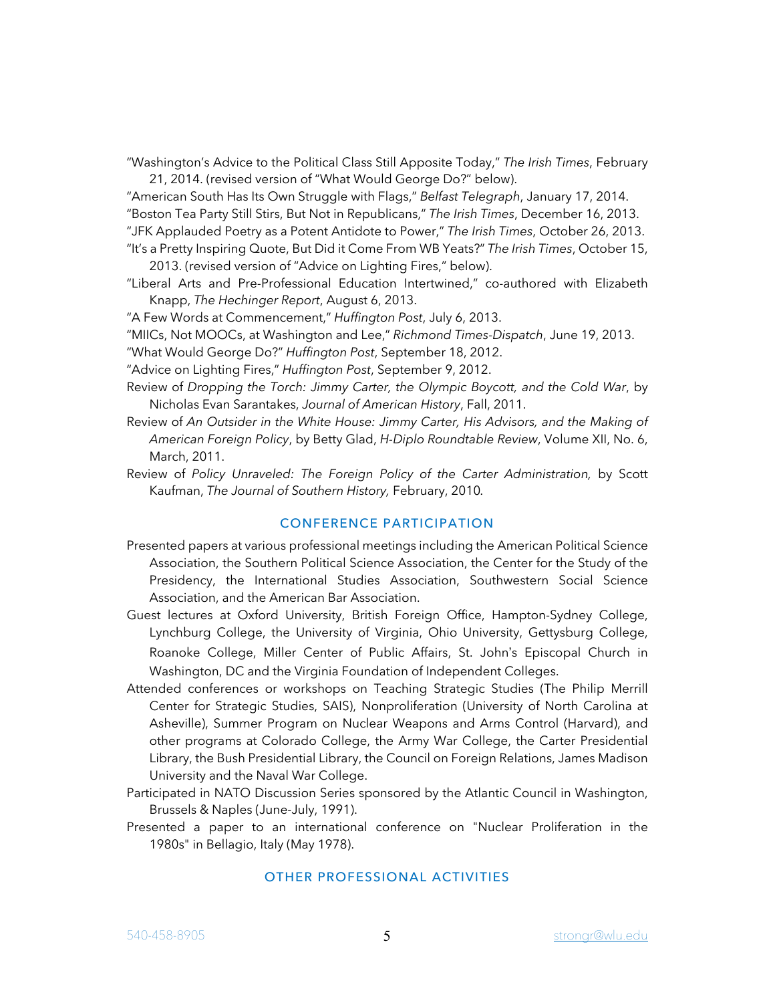"Washington's Advice to the Political Class Still Apposite Today," *The Irish Times*, February

21, 2014. (revised version of "What Would George Do?" below).

"American South Has Its Own Struggle with Flags," *Belfast Telegraph*, January 17, 2014. "Boston Tea Party Still Stirs, But Not in Republicans," *The Irish Times*, December 16, 2013. "JFK Applauded Poetry as a Potent Antidote to Power," *The Irish Times*, October 26, 2013.

- "It's a Pretty Inspiring Quote, But Did it Come From WB Yeats?" *The Irish Times*, October 15, 2013. (revised version of "Advice on Lighting Fires," below).
- "Liberal Arts and Pre-Professional Education Intertwined," co-authored with Elizabeth Knapp, *The Hechinger Report*, August 6, 2013.

"A Few Words at Commencement," *Huffington Post*, July 6, 2013.

"MIICs, Not MOOCs, at Washington and Lee," *Richmond Times-Dispatch*, June 19, 2013.

"What Would George Do?" *Huffington Post*, September 18, 2012.

"Advice on Lighting Fires," *Huffington Post*, September 9, 2012.

- Review of *Dropping the Torch: Jimmy Carter, the Olympic Boycott, and the Cold War*, by Nicholas Evan Sarantakes, *Journal of American History*, Fall, 2011.
- Review of *An Outsider in the White House: Jimmy Carter, His Advisors, and the Making of American Foreign Policy*, by Betty Glad, *H-Diplo Roundtable Review*, Volume XII, No. 6, March, 2011.
- Review of *Policy Unraveled: The Foreign Policy of the Carter Administration,* by Scott Kaufman, *The Journal of Southern History,* February, 2010*.*

## CONFERENCE PARTICIPATION

- Presented papers at various professional meetings including the American Political Science Association, the Southern Political Science Association, the Center for the Study of the Presidency, the International Studies Association, Southwestern Social Science Association, and the American Bar Association.
- Guest lectures at Oxford University, British Foreign Office, Hampton-Sydney College, Lynchburg College, the University of Virginia, Ohio University, Gettysburg College, Roanoke College, Miller Center of Public Affairs, St. John's Episcopal Church in Washington, DC and the Virginia Foundation of Independent Colleges.
- Attended conferences or workshops on Teaching Strategic Studies (The Philip Merrill Center for Strategic Studies, SAIS), Nonproliferation (University of North Carolina at Asheville), Summer Program on Nuclear Weapons and Arms Control (Harvard), and other programs at Colorado College, the Army War College, the Carter Presidential Library, the Bush Presidential Library, the Council on Foreign Relations, James Madison University and the Naval War College.
- Participated in NATO Discussion Series sponsored by the Atlantic Council in Washington, Brussels & Naples (June-July, 1991).
- Presented a paper to an international conference on "Nuclear Proliferation in the 1980s" in Bellagio, Italy (May 1978).

## OTHER PROFESSIONAL ACTIVITIES